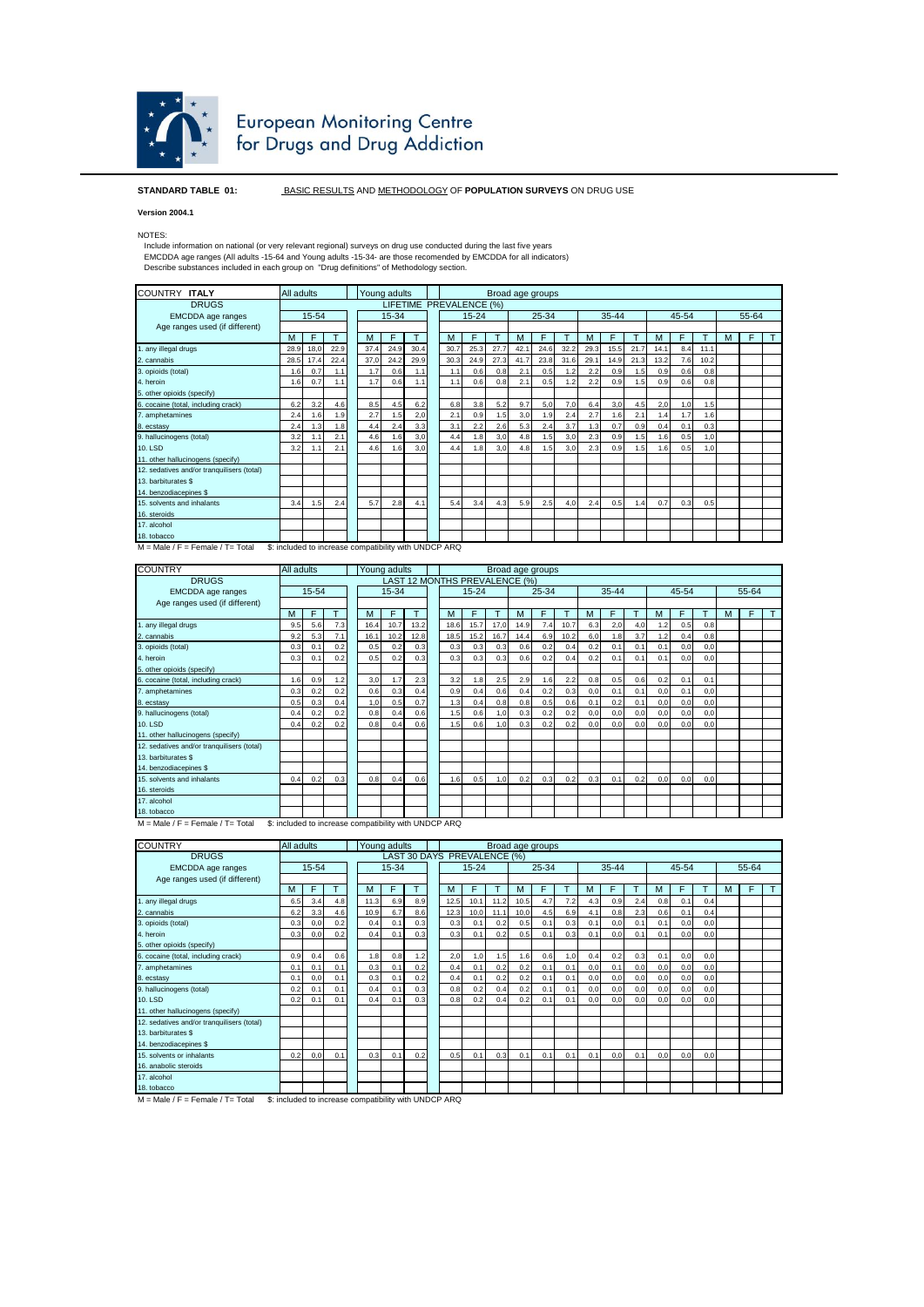

## European Monitoring Centre<br>for Drugs and Drug Addiction

## **STANDARD TABLE 01:** BASIC RESULTS AND METHODOLOGY OF **POPULATION SURVEYS** ON DRUG USE

**Version 2004.1** NOTES:

Include information on national (or very relevant regional) surveys on drug use conducted during the last five years<br>EMCDDA age ranges (All adults -15-64 and Young adults -15-34- are those recomended by EMCDDA for all indi

| COUNTRY <b>ITALY</b>                                                                         | All adults<br>Young adults |      |      |      |       |      | Broad age groups |                         |      |      |       |      |      |           |      |      |       |     |      |       |   |  |
|----------------------------------------------------------------------------------------------|----------------------------|------|------|------|-------|------|------------------|-------------------------|------|------|-------|------|------|-----------|------|------|-------|-----|------|-------|---|--|
| <b>DRUGS</b>                                                                                 |                            |      |      |      |       |      |                  | LIFETIME PREVALENCE (%) |      |      |       |      |      |           |      |      |       |     |      |       |   |  |
| <b>EMCDDA</b> age ranges                                                                     | $15 - 54$                  |      |      |      | 15-34 |      |                  | $15 - 24$               |      |      | 25-34 |      |      | $35 - 44$ |      |      | 45-54 |     |      | 55-64 |   |  |
| Age ranges used (if different)                                                               |                            |      |      |      |       |      |                  |                         |      |      |       |      |      |           |      |      |       |     |      |       |   |  |
|                                                                                              | м                          | F    |      | м    | F     |      |                  | M                       | F    |      | м     | F    |      | м         | F    |      | M     | F   |      | м     | F |  |
| 1. any illegal drugs                                                                         | 28.9                       | 18,0 | 22.9 | 37.4 | 24.9  | 30.4 |                  | 30.7                    | 25.3 | 27.7 | 42.1  | 24.6 | 32.2 | 29.3      | 15.5 | 21.7 | 14.1  | 8.4 | 11.1 |       |   |  |
| 2. cannabis                                                                                  | 28.5                       | 17.4 | 22.4 | 37,0 | 24.2  | 29.9 |                  | 30.3                    | 24.9 | 27.3 | 41.7  | 23.8 | 31.6 | 29.1      | 14.9 | 21.3 | 13.2  | 7.6 | 10.2 |       |   |  |
| 3. opioids (total)                                                                           | 1.6                        | 0.7  | 1.1  | 1.7  | 0.6   | 1.1  |                  | 1.1                     | 0.6  | 0.8  | 2.1   | 0.5  | 1.2  | 2.2       | 0.9  | 1.5  | 0.9   | 0.6 | 0.8  |       |   |  |
| 4. heroin                                                                                    | 1.6                        | 0.7  | 1.1  | 1.7  | 0.6   | 1.1  |                  | 1.1                     | 0.6  | 0.8  | 2.1   | 0.5  | 1.2  | 2.2       | 0.9  | 1.5  | 0.9   | 0.6 | 0.8  |       |   |  |
| 5. other opioids (specify)                                                                   |                            |      |      |      |       |      |                  |                         |      |      |       |      |      |           |      |      |       |     |      |       |   |  |
| 6. cocaine (total, including crack)                                                          | 6.2                        | 3.2  | 4.6  | 8.5  | 4.5   | 6.2  |                  | 6.8                     | 3.8  | 5.2  | 9.7   | 5,0  | 7,0  | 6.4       | 3.0  | 4.5  | 2,0   | 1,0 | 1.5  |       |   |  |
| 7. amphetamines                                                                              | 2.4                        | 1.6  | 1.9  | 2.7  | 1.5   | 2,0  |                  | 2.1                     | 0.9  | 1.5  | 3.0   | 1.9  | 2.4  | 2.7       | 1.6  | 2.1  | 1.4   | 1.7 | 1.6  |       |   |  |
| 8. ecstasy                                                                                   | 2.4                        | 1.3  | 1.8  | 4.4  | 2.4   | 3.3  |                  | 3.1                     | 2.2  | 2.61 | 5.3   | 2.4  | 3.7  | 1.3       | 0.7  | 0.9  | 0.4   | 0.1 | 0.3  |       |   |  |
| 9. hallucinogens (total)                                                                     | 3.2                        | 1.1  | 2.1  | 4.6  | 1.6   | 3,0  |                  | 4.4                     | 1.8  | 3,0  | 4.8   | 1.5  | 3,0  | 2.3       | 0.9  | 1.5  | 1.6   | 0.5 | 1,0  |       |   |  |
| 10.1SD                                                                                       | 3.2                        | 1.1  | 2.1  | 4.6  | 1.6   | 3,0  |                  | 4.4                     | 1.8  | 3,0  | 4.8   | 1.5  | 3,0  | 2.3       | 0.9  | 1.5  | 1.6   | 0.5 | 1,0  |       |   |  |
| 11. other hallucinogens (specify)                                                            |                            |      |      |      |       |      |                  |                         |      |      |       |      |      |           |      |      |       |     |      |       |   |  |
| 12. sedatives and/or tranquilisers (total)                                                   |                            |      |      |      |       |      |                  |                         |      |      |       |      |      |           |      |      |       |     |      |       |   |  |
| 13. barbiturates \$                                                                          |                            |      |      |      |       |      |                  |                         |      |      |       |      |      |           |      |      |       |     |      |       |   |  |
| 14. benzodiacepines \$                                                                       |                            |      |      |      |       |      |                  |                         |      |      |       |      |      |           |      |      |       |     |      |       |   |  |
| 15. solvents and inhalants                                                                   | 3.4                        | 1.5  | 2.4  | 5.7  | 2.8   | 4.1  |                  | 5.4                     | 3.4  | 4.3  | 5.9   | 2.5  | 4,0  | 2.4       | 0.5  | 1.4  | 0.7   | 0.3 | 0.5  |       |   |  |
| 16. steroids                                                                                 |                            |      |      |      |       |      |                  |                         |      |      |       |      |      |           |      |      |       |     |      |       |   |  |
| 17. alcohol                                                                                  |                            |      |      |      |       |      |                  |                         |      |      |       |      |      |           |      |      |       |     |      |       |   |  |
| 18. tobacco                                                                                  |                            |      |      |      |       |      |                  |                         |      |      |       |      |      |           |      |      |       |     |      |       |   |  |
| $M = Male / F = Female / T = Total$<br>\$: included to increase compatibility with UNDCP ARQ |                            |      |      |      |       |      |                  |                         |      |      |       |      |      |           |      |      |       |     |      |       |   |  |

| <b>COUNTRY</b>                                                                               | All adults<br>Young adults |                               |     |   |      |       | Broad age groups |  |      |           |      |      |       |      |     |           |     |     |       |     |   |       |  |
|----------------------------------------------------------------------------------------------|----------------------------|-------------------------------|-----|---|------|-------|------------------|--|------|-----------|------|------|-------|------|-----|-----------|-----|-----|-------|-----|---|-------|--|
| <b>DRUGS</b>                                                                                 |                            | LAST 12 MONTHS PREVALENCE (%) |     |   |      |       |                  |  |      |           |      |      |       |      |     |           |     |     |       |     |   |       |  |
| <b>EMCDDA</b> age ranges                                                                     |                            | 15-54                         |     |   |      | 15-34 |                  |  |      | $15 - 24$ |      |      | 25-34 |      |     | $35 - 44$ |     |     | 45-54 |     |   | 55-64 |  |
| Age ranges used (if different)                                                               |                            |                               |     |   |      |       |                  |  |      |           |      |      |       |      |     |           |     |     |       |     |   |       |  |
|                                                                                              | М                          | F                             |     | M |      | F     |                  |  | М    | F         |      | M    | F     |      | м   | F         |     | м   | F     |     | M | F     |  |
| any illegal drugs                                                                            | 9.5                        | 5.6                           | 7.3 |   | 16.4 | 10.7  | 13.2             |  | 18.6 | 15.7      | 17,0 | 14.9 | 7.4   | 10.7 | 6.3 | 2,0       | 4,0 | 1.2 | 0.5   | 0.8 |   |       |  |
| cannabis                                                                                     | 9.2                        | 5.3                           | 7.1 |   | 16.1 | 10.2  | 12.8             |  | 18.5 | 15.2      | 16.7 | 14.4 | 6.9   | 10.2 | 6.0 | 1.8       | 3.7 | 1.2 | 0.4   | 0.8 |   |       |  |
| 3. opioids (total)                                                                           | 0.3                        | 0.1                           | 0.2 |   | 0.5  | 0.2   | 0.3              |  | 0.3  | 0.3       | 0.3  | 0.6  | 0.2   | 0.4  | 0.2 | 0.1       | 0.1 | 0.1 | 0.0   | 0.0 |   |       |  |
| 4. heroin                                                                                    | 0.3                        | 0.1                           | 0.2 |   | 0.5  | 0.2   | 0.3              |  | 0.3  | 0.3       | 0.3  | 0.6  | 0.2   | 0.4  | 0.2 | 0.1       | 0.1 | 0.1 | 0.0   | 0,0 |   |       |  |
| 5. other opioids (specify)                                                                   |                            |                               |     |   |      |       |                  |  |      |           |      |      |       |      |     |           |     |     |       |     |   |       |  |
| 6. cocaine (total, including crack)                                                          | 1.6                        | 0.9                           | 1.2 |   | 3,0  | 1.7   | 2.3              |  | 3.2  | 1.8       | 2.5  | 2.9  | 1.6   | 2.2  | 0.8 | 0.5       | 0.6 | 0.2 | 0.1   | 0.1 |   |       |  |
| 7. amphetamines                                                                              | 0.3                        | 0.2                           | 0.2 |   | 0.6  | 0.3   | 0.4              |  | 0.9  | 0.4       | 0.6  | 0.4  | 0.2   | 0.3  | 0,0 | 0.1       | 0.1 | 0.0 | 0.1   | 0,0 |   |       |  |
| 8. ecstasy                                                                                   | 0.5                        | 0.3                           | 0.4 |   | 1,0  | 0.5   | 0.7              |  | 1.3  | 0.4       | 0.8  | 0.8  | 0.5   | 0.6  | 0.1 | 0.2       | 0.1 | 0.0 | 0.0   | 0,0 |   |       |  |
| 9. hallucinogens (total)                                                                     | 0.4                        | 0.2                           | 0.2 |   | 0.8  | 0.4   | 0.6              |  | 1.5  | 0.6       | 1.0  | 0.3  | 0.2   | 0.2  | 0.0 | 0.0       | 0,0 | 0.0 | 0.0   | 0,0 |   |       |  |
| 10.1SD                                                                                       | 0.4                        | 0.2                           | 0.2 |   | 0.8  | 0.4   | 0.6              |  | 1.5  | 0.6       | 1.0  | 0.3  | 0.2   | 0.2  | 0.0 | 0,0       | 0.0 | 0.0 | 0.0   | 0,0 |   |       |  |
| 11. other hallucinogens (specify)                                                            |                            |                               |     |   |      |       |                  |  |      |           |      |      |       |      |     |           |     |     |       |     |   |       |  |
| 12. sedatives and/or tranquilisers (total)                                                   |                            |                               |     |   |      |       |                  |  |      |           |      |      |       |      |     |           |     |     |       |     |   |       |  |
| 13. barbiturates \$                                                                          |                            |                               |     |   |      |       |                  |  |      |           |      |      |       |      |     |           |     |     |       |     |   |       |  |
| 14. benzodiacepines \$                                                                       |                            |                               |     |   |      |       |                  |  |      |           |      |      |       |      |     |           |     |     |       |     |   |       |  |
| 15. solvents and inhalants                                                                   | 0.4                        | 0.2                           | 0.3 |   | 0.8  | 0.4   | 0.6              |  | 1.6  | 0.5       | 1.0  | 0.2  | 0.3   | 0.2  | 0.3 | 0.1       | 0.2 | 0.0 | 0.0   | 0.0 |   |       |  |
| 16. steroids                                                                                 |                            |                               |     |   |      |       |                  |  |      |           |      |      |       |      |     |           |     |     |       |     |   |       |  |
| 17. alcohol                                                                                  |                            |                               |     |   |      |       |                  |  |      |           |      |      |       |      |     |           |     |     |       |     |   |       |  |
| 18. tobacco                                                                                  |                            |                               |     |   |      |       |                  |  |      |           |      |      |       |      |     |           |     |     |       |     |   |       |  |
| $M = Male / F = Female / T = Total$<br>\$: included to increase compatibility with UNDCP ARQ |                            |                               |     |   |      |       |                  |  |      |           |      |      |       |      |     |           |     |     |       |     |   |       |  |

| <b>COUNTRY</b>                                  | All adults |           |     |      | Young adults |                                                             |  |           |      |      | Broad age groups |     |     |           |     |     |     |       |     |   |       |  |
|-------------------------------------------------|------------|-----------|-----|------|--------------|-------------------------------------------------------------|--|-----------|------|------|------------------|-----|-----|-----------|-----|-----|-----|-------|-----|---|-------|--|
| <b>DRUGS</b>                                    |            |           |     |      |              | LAST 30 DAYS PREVALENCE (%)                                 |  |           |      |      |                  |     |     |           |     |     |     |       |     |   |       |  |
| <b>EMCDDA</b> age ranges                        |            | $15 - 54$ |     |      | 15-34        |                                                             |  | $15 - 24$ |      |      | 25-34            |     |     | $35 - 44$ |     |     |     | 45-54 |     |   | 55-64 |  |
| Age ranges used (if different)                  |            |           |     |      |              |                                                             |  |           |      |      |                  |     |     |           |     |     |     |       |     |   |       |  |
|                                                 | м          | E         |     | м    | E.           |                                                             |  | M         | F    |      | м                | F   |     | м         | F   |     | м   | F     |     | м | F     |  |
| 1. any illegal drugs                            | 6.5        | 3.4       | 4.8 | 11.3 | 6.9          | 8.9                                                         |  | 12.5      | 10.1 | 11.2 | 10.5             | 4.7 | 7.2 | 4.3       | 0.9 | 2.4 | 0.8 | 0.1   | 0.4 |   |       |  |
| 2. cannabis                                     | 6.2        | 3.3       | 4.6 | 10.9 | 6.7          | 8.6                                                         |  | 12.3      | 10,0 | 11.1 | 10,0             | 4.5 | 6.9 | 4.1       | 0.8 | 2.3 | 0.6 | 0.1   | 0.4 |   |       |  |
| 3. opioids (total)                              | 0.3        | 0,0       | 0.2 | 0.4  | 0.1          | 0.3                                                         |  | 0.3       | 0.1  | 0.2  | 0.5              | 0.1 | 0.3 | 0.1       | 0,0 | 0.1 | 0.1 | 0,0   | 0,0 |   |       |  |
| 4. heroin                                       | 0.3        | 0.0       | 0.2 | 0.4  | 0.1          | 0.3                                                         |  | 0.3       | 0.1  | 0.2  | 0.5              | 0.1 | 0.3 | 0.1       | 0.0 | 0.1 | 0.1 | 0,0   | 0,0 |   |       |  |
| 5. other opioids (specify)                      |            |           |     |      |              |                                                             |  |           |      |      |                  |     |     |           |     |     |     |       |     |   |       |  |
| 6. cocaine (total, including crack)             | 0.9        | 0.4       | 0.6 | 1.8  | 0.8          | 1.2                                                         |  | 2,0       | 1.0  | 1.5  | 1.6              | 0.6 | 1,0 | 0.4       | 0.2 | 0.3 | 0.1 | 0.0   | 0,0 |   |       |  |
| 7. amphetamines                                 | 0.1        | 0.1       | 0.1 | 0.3  | 0.1          | 0.2                                                         |  | 0.4       | 0.1  | 0.2  | 0.2              | 0.1 | 0.1 | 0.0       | 0.1 | 0,0 | 0.0 | 0.0   | 0,0 |   |       |  |
| 8. ecstasy                                      | 0.1        | 0.0       | 0.1 | 0.3  | 0.1          | 0.2                                                         |  | 0.4       | 0.1  | 0.2  | 0.2              | 0.1 | 0.1 | 0.0       | 0.0 | 0.0 | 0.0 | 0.0   | 0.0 |   |       |  |
| 9. hallucinogens (total)                        | 0.2        | 0.1       | 0.1 | 0.4  | 0.1          | 0.3                                                         |  | 0.8       | 0.2  | 0.4  | 0.2              | 0.1 | 0.1 | 0,0       | 0,0 | 0,0 | 0.0 | 0,0   | 0,0 |   |       |  |
| <b>10. LSD</b>                                  | 0.2        | 0.1       | 0.1 | 0.4  | 0.1          | 0.3                                                         |  | 0.8       | 0.2  | 0.4  | 0.2              | 0.1 | 0.1 | 0,0       | 0,0 | 0,0 | 0,0 | 0,0   | 0,0 |   |       |  |
| 11. other hallucinogens (specify)               |            |           |     |      |              |                                                             |  |           |      |      |                  |     |     |           |     |     |     |       |     |   |       |  |
| 12. sedatives and/or tranquilisers (total)      |            |           |     |      |              |                                                             |  |           |      |      |                  |     |     |           |     |     |     |       |     |   |       |  |
| 13. barbiturates \$                             |            |           |     |      |              |                                                             |  |           |      |      |                  |     |     |           |     |     |     |       |     |   |       |  |
| 14. benzodiacepines \$                          |            |           |     |      |              |                                                             |  |           |      |      |                  |     |     |           |     |     |     |       |     |   |       |  |
| 15, solvents or inhalants                       | 0.2        | 0.0       | 0.1 | 0.3  | 0.1          | 0.2                                                         |  | 0.5       | 0.1  | 0.3  | 0.1              | 0.1 | 0.1 | 0.1       | 0.0 | 0.1 | 0.0 | 0,0   | 0,0 |   |       |  |
| 16, anabolic steroids                           |            |           |     |      |              |                                                             |  |           |      |      |                  |     |     |           |     |     |     |       |     |   |       |  |
| 17. alcohol                                     |            |           |     |      |              |                                                             |  |           |      |      |                  |     |     |           |     |     |     |       |     |   |       |  |
| 18. tobacco<br>M. Male I.E., Famale I.T., Total |            |           |     |      |              | <b>C. Included to increase compatibility with UNDOD ADO</b> |  |           |      |      |                  |     |     |           |     |     |     |       |     |   |       |  |

 $M =$  Male / F = Female / T= Total  $$$ : included to increase compatibility with UNDCP ARQ